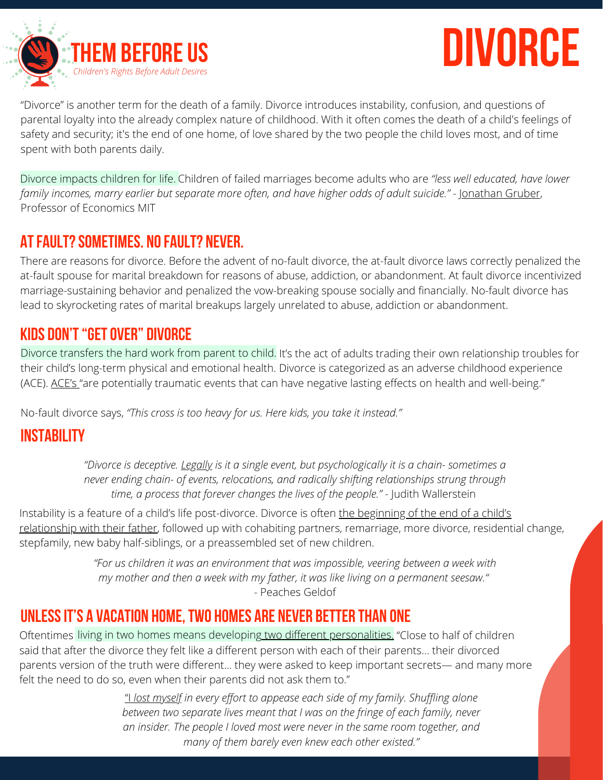

# **divorce**

"Divorce" is another term for the death of a family. Divorce introduces instability, confusion, and questions of parental loyalty into the already complex nature of childhood. With it often comes the death of a child's feelings of safety and security; it's the end of one home, of love shared by the two people the child loves most, and of time spent with both parents daily.

Divorce impacts children for life. Children of failed marriages become adults who are "less well educated, have lower *family incomes, marry earlier but separate more often, and have higher odds of adult suicide."* - [Jonathan](https://www.jstor.org/stable/10.1086/423155?seq=1) Gruber, Professor of Economics MIT

#### **AtFault?Sometimes. NoFault? Never.**

There are reasons for divorce. Before the advent of no-fault divorce, the at-fault divorce laws correctly penalized the at-fault spouse for marital breakdown for reasons of abuse, addiction, or abandonment. At fault divorce incentivized marriage-sustaining behavior and penalized the vow-breaking spouse socially and financially. No-fault divorce has lead to skyrocketing rates of marital breakups largely unrelated to abuse, addiction or abandonment.

## **Kids Don't"GetOver" Divorce**

Divorce transfers the hard work from parent to child. It's the act of adults trading their own relationship troubles for their child's long-term physical and emotional health. Divorce is categorized as an adverse childhood experience ([ACE](https://www.childtrends.org/adverse-childhood-experiences-different-than-child-trauma-critical-to-understand-why)). ACE's "are potentially traumatic events that can have negative lasting effects on health and well-being."

No-fault divorce says, *"This cross is too heavy for us. Here kids, you take it instead."*

## **Instability**

*"Divorce is [deceptive.](https://www.theatlantic.com/magazine/archive/1993/04/dan-quayle-was-%20right/307015) [Legally](https://www.theatlantic.com/magazine/archive/1993/04/dan-quayle-was-%20right/307015) is it a single event, but [psychologically](https://www.theatlantic.com/magazine/archive/1993/04/dan-quayle-was-%20right/307015) it is a chain- sometimes a never ending chain- of events, relocations, and radically shifting relationships strung through time, a process that forever changes the lives of the people."* - Judith Wallerstein

Instability is a feature of a child's life [post-divorce.](https://www.marripedia.org/effects_of_divorce_on_family_relationships) Divorce is often the beginning of the end of a child's relationship with their father, followed up with cohabiting partners, remarriage, more divorce, residential change, stepfamily, new baby half-siblings, or a preassembled set of new children.

> *"For us children it was an environment that was impossible, veering between a week with my mother and then a week with my father, it was like living on a permanent seesaw."* - Peaches Geldof

#### **Unlessit's a Vacation Home,Two Homes are Never Better Than One**

Oftentimes living in two homes means developin<u>g two different [personalities.](https://www.washingtonpost.com/archive/opinions/2005/11/06/just-whom-is-this-divorce-good-for/32da3ae3-b15e-491f-a897-96b62a23fe57/)</u> "Close to half of children said that after the divorce they felt like a different person with each of their parents… their divorced parents version of the truth were different… they were asked to keep important secrets— and many more felt the need to do so, even when their parents did not ask them to."

> ["I](https://www.theglobeandmail.com/life/facts-and-arguments/after-my-parents-divorced-my-childhood-was-no-longer-mine-it-belonged-to-them/article12358944/) *lost [myself](https://www.theglobeandmail.com/life/facts-and-arguments/after-my-parents-divorced-my-childhood-was-no-longer-mine-it-belonged-to-them/article12358944/) in every effort to appease each side of my family. Shuffling alone between two separate lives meant that I was on the fringe of each family, never an insider. The people I loved most were never in the same room together, and many of them barely even knew each other existed."*